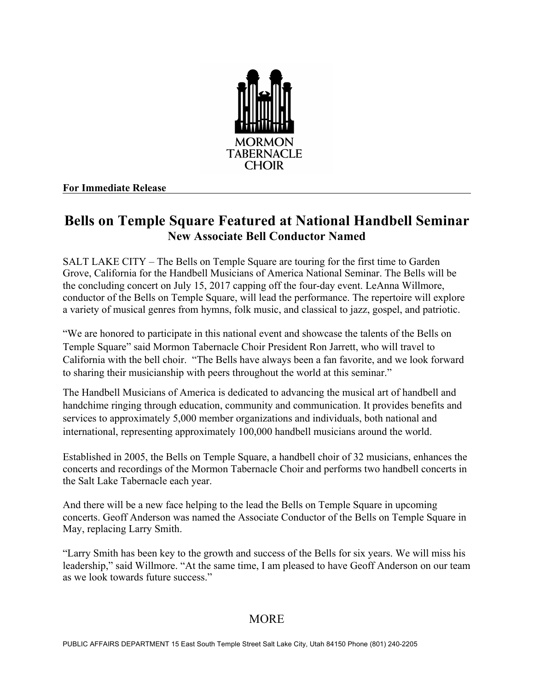

## **For Immediate Release**

## **Bells on Temple Square Featured at National Handbell Seminar New Associate Bell Conductor Named**

SALT LAKE CITY – The Bells on Temple Square are touring for the first time to Garden Grove, California for the Handbell Musicians of America National Seminar. The Bells will be the concluding concert on July 15, 2017 capping off the four-day event. LeAnna Willmore, conductor of the Bells on Temple Square, will lead the performance. The repertoire will explore a variety of musical genres from hymns, folk music, and classical to jazz, gospel, and patriotic.

"We are honored to participate in this national event and showcase the talents of the Bells on Temple Square" said Mormon Tabernacle Choir President Ron Jarrett, who will travel to California with the bell choir. "The Bells have always been a fan favorite, and we look forward to sharing their musicianship with peers throughout the world at this seminar."

The Handbell Musicians of America is dedicated to advancing the musical art of handbell and handchime ringing through education, community and communication. It provides benefits and services to approximately 5,000 member organizations and individuals, both national and international, representing approximately 100,000 handbell musicians around the world.

Established in 2005, the Bells on Temple Square, a handbell choir of 32 musicians, enhances the concerts and recordings of the Mormon Tabernacle Choir and performs two handbell concerts in the Salt Lake Tabernacle each year.

And there will be a new face helping to the lead the Bells on Temple Square in upcoming concerts. Geoff Anderson was named the Associate Conductor of the Bells on Temple Square in May, replacing Larry Smith.

"Larry Smith has been key to the growth and success of the Bells for six years. We will miss his leadership," said Willmore. "At the same time, I am pleased to have Geoff Anderson on our team as we look towards future success."

## **MORE**